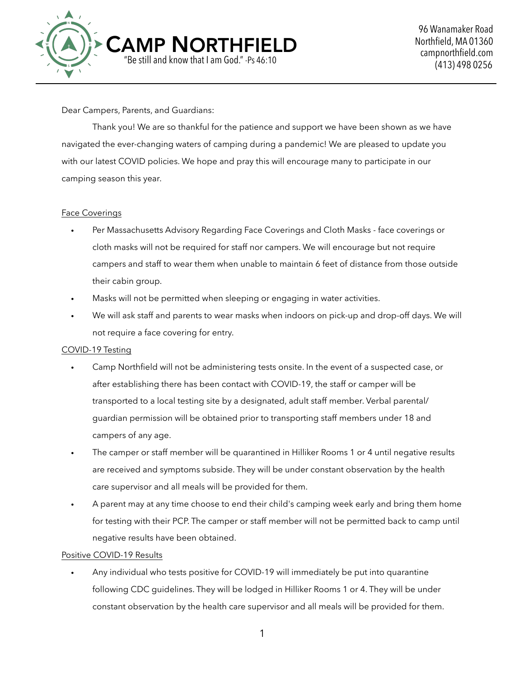

Dear Campers, Parents, and Guardians:

 Thank you! We are so thankful for the patience and support we have been shown as we have navigated the ever-changing waters of camping during a pandemic! We are pleased to update you with our latest COVID policies. We hope and pray this will encourage many to participate in our camping season this year.

### Face Coverings

- Per Massachusetts Advisory Regarding Face Coverings and Cloth Masks face coverings or cloth masks will not be required for staff nor campers. We will encourage but not require campers and staff to wear them when unable to maintain 6 feet of distance from those outside their cabin group.
- Masks will not be permitted when sleeping or engaging in water activities.
- We will ask staff and parents to wear masks when indoors on pick-up and drop-off days. We will not require a face covering for entry.

# COVID-19 Testing

- Camp Northfield will not be administering tests onsite. In the event of a suspected case, or after establishing there has been contact with COVID-19, the staff or camper will be transported to a local testing site by a designated, adult staff member. Verbal parental/ guardian permission will be obtained prior to transporting staff members under 18 and campers of any age.
- The camper or staff member will be quarantined in Hilliker Rooms 1 or 4 until negative results are received and symptoms subside. They will be under constant observation by the health care supervisor and all meals will be provided for them.
- A parent may at any time choose to end their child's camping week early and bring them home for testing with their PCP. The camper or staff member will not be permitted back to camp until negative results have been obtained.

# Positive COVID-19 Results

• Any individual who tests positive for COVID-19 will immediately be put into quarantine following CDC guidelines. They will be lodged in Hilliker Rooms 1 or 4. They will be under constant observation by the health care supervisor and all meals will be provided for them.